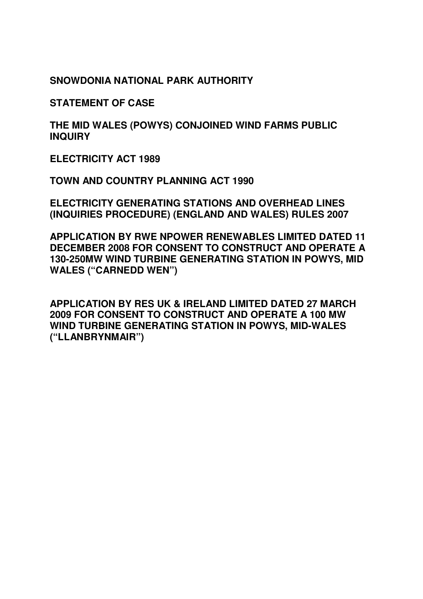**SNOWDONIA NATIONAL PARK AUTHORITY** 

**STATEMENT OF CASE** 

**THE MID WALES (POWYS) CONJOINED WIND FARMS PUBLIC INQUIRY** 

**ELECTRICITY ACT 1989** 

**TOWN AND COUNTRY PLANNING ACT 1990** 

**ELECTRICITY GENERATING STATIONS AND OVERHEAD LINES (INQUIRIES PROCEDURE) (ENGLAND AND WALES) RULES 2007** 

**APPLICATION BY RWE NPOWER RENEWABLES LIMITED DATED 11 DECEMBER 2008 FOR CONSENT TO CONSTRUCT AND OPERATE A 130-250MW WIND TURBINE GENERATING STATION IN POWYS, MID WALES ("CARNEDD WEN")** 

**APPLICATION BY RES UK & IRELAND LIMITED DATED 27 MARCH 2009 FOR CONSENT TO CONSTRUCT AND OPERATE A 100 MW WIND TURBINE GENERATING STATION IN POWYS, MID-WALES ("LLANBRYNMAIR")**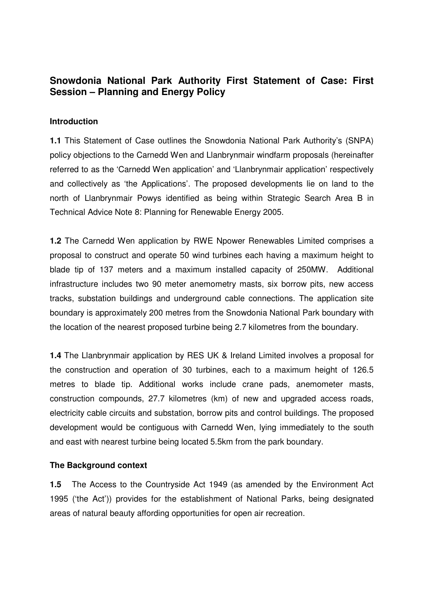# **Snowdonia National Park Authority First Statement of Case: First Session – Planning and Energy Policy**

## **Introduction**

**1.1** This Statement of Case outlines the Snowdonia National Park Authority's (SNPA) policy objections to the Carnedd Wen and Llanbrynmair windfarm proposals (hereinafter referred to as the 'Carnedd Wen application' and 'Llanbrynmair application' respectively and collectively as 'the Applications'. The proposed developments lie on land to the north of Llanbrynmair Powys identified as being within Strategic Search Area B in Technical Advice Note 8: Planning for Renewable Energy 2005.

**1.2** The Carnedd Wen application by RWE Npower Renewables Limited comprises a proposal to construct and operate 50 wind turbines each having a maximum height to blade tip of 137 meters and a maximum installed capacity of 250MW. Additional infrastructure includes two 90 meter anemometry masts, six borrow pits, new access tracks, substation buildings and underground cable connections. The application site boundary is approximately 200 metres from the Snowdonia National Park boundary with the location of the nearest proposed turbine being 2.7 kilometres from the boundary.

**1.4** The Llanbrynmair application by RES UK & Ireland Limited involves a proposal for the construction and operation of 30 turbines, each to a maximum height of 126.5 metres to blade tip. Additional works include crane pads, anemometer masts, construction compounds, 27.7 kilometres (km) of new and upgraded access roads, electricity cable circuits and substation, borrow pits and control buildings. The proposed development would be contiguous with Carnedd Wen, lying immediately to the south and east with nearest turbine being located 5.5km from the park boundary.

### **The Background context**

**1.5** The Access to the Countryside Act 1949 (as amended by the Environment Act 1995 ('the Act')) provides for the establishment of National Parks, being designated areas of natural beauty affording opportunities for open air recreation.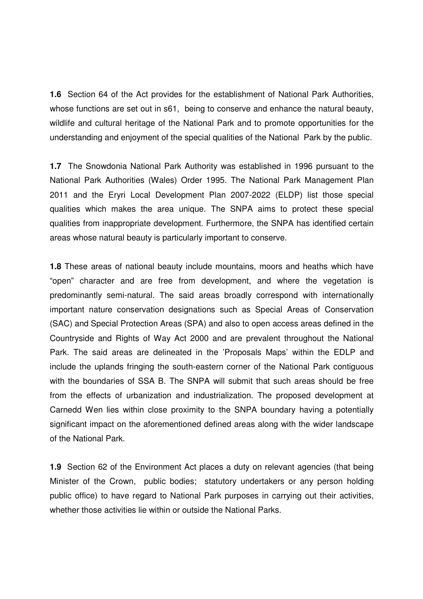**1.6** Section 64 of the Act provides for the establishment of National Park Authorities, whose functions are set out in s61, being to conserve and enhance the natural beauty, wildlife and cultural heritage of the National Park and to promote opportunities for the understanding and enjoyment of the special qualities of the National Park by the public.

**1.7** The Snowdonia National Park Authority was established in 1996 pursuant to the National Park Authorities (Wales) Order 1995. The National Park Management Plan 2011 and the Eryri Local Development Plan 2007-2022 (ELDP) list those special qualities which makes the area unique. The SNPA aims to protect these special qualities from inappropriate development. Furthermore, the SNPA has identified certain areas whose natural beauty is particularly important to conserve.

**1.8** These areas of national beauty include mountains, moors and heaths which have "open" character and are free from development, and where the vegetation is predominantly semi-natural. The said areas broadly correspond with internationally important nature conservation designations such as Special Areas of Conservation (SAC) and Special Protection Areas (SPA) and also to open access areas defined in the Countryside and Rights of Way Act 2000 and are prevalent throughout the National Park. The said areas are delineated in the 'Proposals Maps' within the EDLP and include the uplands fringing the south-eastern corner of the National Park contiguous with the boundaries of SSA B. The SNPA will submit that such areas should be free from the effects of urbanization and industrialization. The proposed development at Carnedd Wen lies within close proximity to the SNPA boundary having a potentially significant impact on the aforementioned defined areas along with the wider landscape of the National Park.

**1.9** Section 62 of the Environment Act places a duty on relevant agencies (that being Minister of the Crown, public bodies; statutory undertakers or any person holding public office) to have regard to National Park purposes in carrying out their activities, whether those activities lie within or outside the National Parks.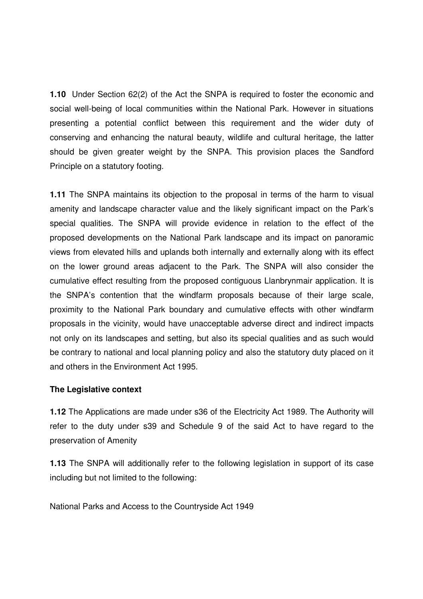**1.10** Under Section 62(2) of the Act the SNPA is required to foster the economic and social well-being of local communities within the National Park. However in situations presenting a potential conflict between this requirement and the wider duty of conserving and enhancing the natural beauty, wildlife and cultural heritage, the latter should be given greater weight by the SNPA. This provision places the Sandford Principle on a statutory footing.

**1.11** The SNPA maintains its objection to the proposal in terms of the harm to visual amenity and landscape character value and the likely significant impact on the Park's special qualities. The SNPA will provide evidence in relation to the effect of the proposed developments on the National Park landscape and its impact on panoramic views from elevated hills and uplands both internally and externally along with its effect on the lower ground areas adjacent to the Park. The SNPA will also consider the cumulative effect resulting from the proposed contiguous Llanbrynmair application. It is the SNPA's contention that the windfarm proposals because of their large scale, proximity to the National Park boundary and cumulative effects with other windfarm proposals in the vicinity, would have unacceptable adverse direct and indirect impacts not only on its landscapes and setting, but also its special qualities and as such would be contrary to national and local planning policy and also the statutory duty placed on it and others in the Environment Act 1995.

## **The Legislative context**

**1.12** The Applications are made under s36 of the Electricity Act 1989. The Authority will refer to the duty under s39 and Schedule 9 of the said Act to have regard to the preservation of Amenity

**1.13** The SNPA will additionally refer to the following legislation in support of its case including but not limited to the following:

National Parks and Access to the Countryside Act 1949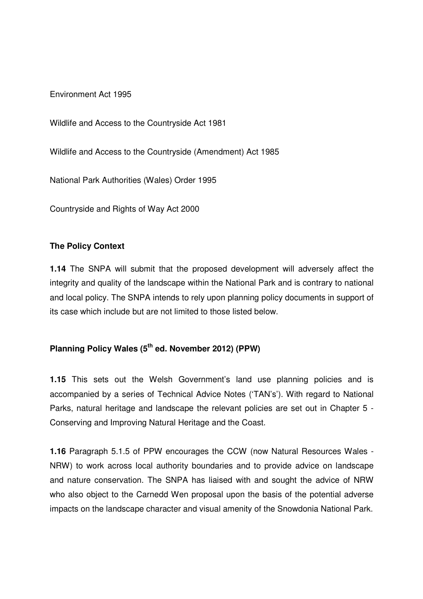Environment Act 1995

Wildlife and Access to the Countryside Act 1981

Wildlife and Access to the Countryside (Amendment) Act 1985

National Park Authorities (Wales) Order 1995

Countryside and Rights of Way Act 2000

### **The Policy Context**

**1.14** The SNPA will submit that the proposed development will adversely affect the integrity and quality of the landscape within the National Park and is contrary to national and local policy. The SNPA intends to rely upon planning policy documents in support of its case which include but are not limited to those listed below.

# **Planning Policy Wales (5th ed. November 2012) (PPW)**

**1.15** This sets out the Welsh Government's land use planning policies and is accompanied by a series of Technical Advice Notes ('TAN's'). With regard to National Parks, natural heritage and landscape the relevant policies are set out in Chapter 5 - Conserving and Improving Natural Heritage and the Coast.

**1.16** Paragraph 5.1.5 of PPW encourages the CCW (now Natural Resources Wales - NRW) to work across local authority boundaries and to provide advice on landscape and nature conservation. The SNPA has liaised with and sought the advice of NRW who also object to the Carnedd Wen proposal upon the basis of the potential adverse impacts on the landscape character and visual amenity of the Snowdonia National Park.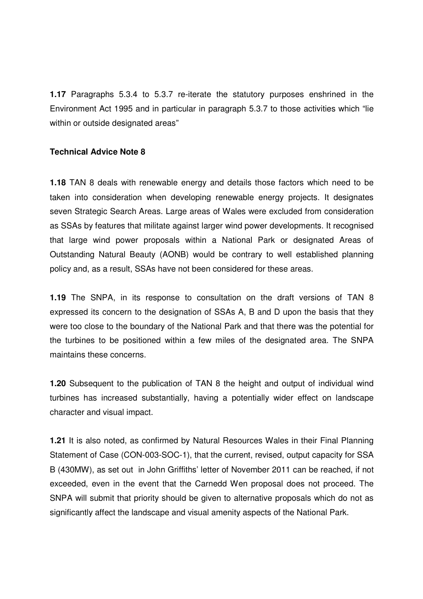**1.17** Paragraphs 5.3.4 to 5.3.7 re-iterate the statutory purposes enshrined in the Environment Act 1995 and in particular in paragraph 5.3.7 to those activities which "lie within or outside designated areas"

### **Technical Advice Note 8**

**1.18** TAN 8 deals with renewable energy and details those factors which need to be taken into consideration when developing renewable energy projects. It designates seven Strategic Search Areas. Large areas of Wales were excluded from consideration as SSAs by features that militate against larger wind power developments. It recognised that large wind power proposals within a National Park or designated Areas of Outstanding Natural Beauty (AONB) would be contrary to well established planning policy and, as a result, SSAs have not been considered for these areas.

**1.19** The SNPA, in its response to consultation on the draft versions of TAN 8 expressed its concern to the designation of SSAs A, B and D upon the basis that they were too close to the boundary of the National Park and that there was the potential for the turbines to be positioned within a few miles of the designated area. The SNPA maintains these concerns.

**1.20** Subsequent to the publication of TAN 8 the height and output of individual wind turbines has increased substantially, having a potentially wider effect on landscape character and visual impact.

**1.21** It is also noted, as confirmed by Natural Resources Wales in their Final Planning Statement of Case (CON-003-SOC-1), that the current, revised, output capacity for SSA B (430MW), as set out in John Griffiths' letter of November 2011 can be reached, if not exceeded, even in the event that the Carnedd Wen proposal does not proceed. The SNPA will submit that priority should be given to alternative proposals which do not as significantly affect the landscape and visual amenity aspects of the National Park.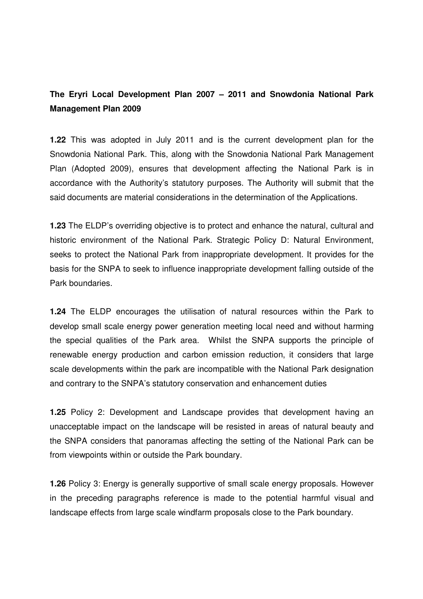# **The Eryri Local Development Plan 2007 – 2011 and Snowdonia National Park Management Plan 2009**

**1.22** This was adopted in July 2011 and is the current development plan for the Snowdonia National Park. This, along with the Snowdonia National Park Management Plan (Adopted 2009), ensures that development affecting the National Park is in accordance with the Authority's statutory purposes. The Authority will submit that the said documents are material considerations in the determination of the Applications.

**1.23** The ELDP's overriding objective is to protect and enhance the natural, cultural and historic environment of the National Park. Strategic Policy D: Natural Environment, seeks to protect the National Park from inappropriate development. It provides for the basis for the SNPA to seek to influence inappropriate development falling outside of the Park boundaries.

**1.24** The ELDP encourages the utilisation of natural resources within the Park to develop small scale energy power generation meeting local need and without harming the special qualities of the Park area. Whilst the SNPA supports the principle of renewable energy production and carbon emission reduction, it considers that large scale developments within the park are incompatible with the National Park designation and contrary to the SNPA's statutory conservation and enhancement duties

**1.25** Policy 2: Development and Landscape provides that development having an unacceptable impact on the landscape will be resisted in areas of natural beauty and the SNPA considers that panoramas affecting the setting of the National Park can be from viewpoints within or outside the Park boundary.

**1.26** Policy 3: Energy is generally supportive of small scale energy proposals. However in the preceding paragraphs reference is made to the potential harmful visual and landscape effects from large scale windfarm proposals close to the Park boundary.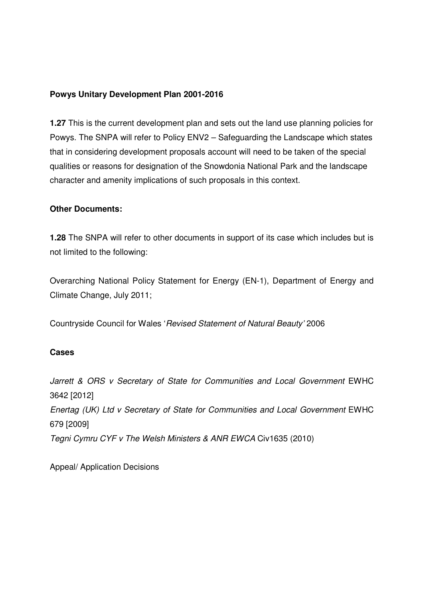## **Powys Unitary Development Plan 2001-2016**

**1.27** This is the current development plan and sets out the land use planning policies for Powys. The SNPA will refer to Policy ENV2 – Safeguarding the Landscape which states that in considering development proposals account will need to be taken of the special qualities or reasons for designation of the Snowdonia National Park and the landscape character and amenity implications of such proposals in this context.

### **Other Documents:**

**1.28** The SNPA will refer to other documents in support of its case which includes but is not limited to the following:

Overarching National Policy Statement for Energy (EN-1), Department of Energy and Climate Change, July 2011;

Countryside Council for Wales 'Revised Statement of Natural Beauty' 2006

## **Cases**

Jarrett & ORS v Secretary of State for Communities and Local Government EWHC 3642 [2012] Enertag (UK) Ltd v Secretary of State for Communities and Local Government EWHC 679 [2009] Tegni Cymru CYF v The Welsh Ministers & ANR EWCA Civ1635 (2010)

Appeal/ Application Decisions